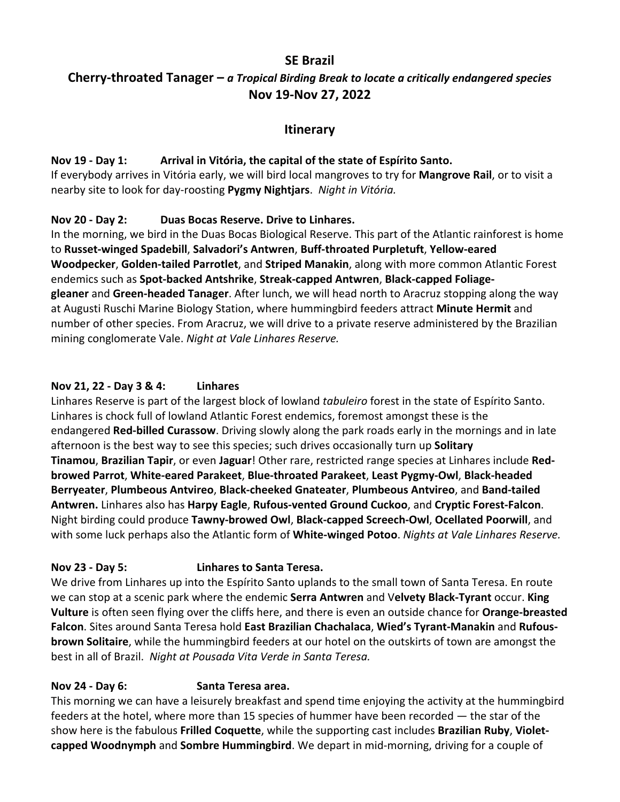## **SE Brazil**

# **Cherry-throated Tanager –** *a Tropical Birding Break to locate a critically endangered species* **Nov 19-Nov 27, 2022**

# **Itinerary**

#### **Nov 19 - Day 1: Arrival in Vitória, the capital of the state of Espírito Santo.**

If everybody arrives in Vitória early, we will bird local mangroves to try for **Mangrove Rail**, or to visit a nearby site to look for day-roosting **Pygmy Nightjars**. *Night in Vitória.*

## **Nov 20 - Day 2: Duas Bocas Reserve. Drive to Linhares.**

In the morning, we bird in the Duas Bocas Biological Reserve. This part of the Atlantic rainforest is home to **Russet-winged Spadebill**, **Salvadori's Antwren**, **Buff-throated Purpletuft**, **Yellow-eared Woodpecker**, **Golden-tailed Parrotlet**, and **Striped Manakin**, along with more common Atlantic Forest endemics such as **Spot-backed Antshrike**, **Streak-capped Antwren**, **Black-capped Foliagegleaner** and **Green-headed Tanager**. After lunch, we will head north to Aracruz stopping along the way at Augusti Ruschi Marine Biology Station, where hummingbird feeders attract **Minute Hermit** and number of other species. From Aracruz, we will drive to a private reserve administered by the Brazilian mining conglomerate Vale. *Night at Vale Linhares Reserve.*

## **Nov 21, 22 - Day 3 & 4: Linhares**

Linhares Reserve is part of the largest block of lowland *tabuleiro* forest in the state of Espírito Santo. Linhares is chock full of lowland Atlantic Forest endemics, foremost amongst these is the endangered **Red-billed Curassow**. Driving slowly along the park roads early in the mornings and in late afternoon is the best way to see this species; such drives occasionally turn up **Solitary Tinamou**, **Brazilian Tapir**, or even **Jaguar**! Other rare, restricted range species at Linhares include **Redbrowed Parrot**, **White-eared Parakeet**, **Blue-throated Parakeet**, **Least Pygmy-Owl**, **Black-headed Berryeater**, **Plumbeous Antvireo**, **Black-cheeked Gnateater**, **Plumbeous Antvireo**, and **Band-tailed Antwren.** Linhares also has **Harpy Eagle**, **Rufous-vented Ground Cuckoo**, and **Cryptic Forest-Falcon**. Night birding could produce **Tawny-browed Owl**, **Black-capped Screech-Owl**, **Ocellated Poorwill**, and with some luck perhaps also the Atlantic form of **White-winged Potoo**. *Nights at Vale Linhares Reserve.*

## **Nov 23 - Day 5: Linhares to Santa Teresa.**

We drive from Linhares up into the Espírito Santo uplands to the small town of Santa Teresa. En route we can stop at a scenic park where the endemic **Serra Antwren** and V**elvety Black-Tyrant** occur. **King Vulture** is often seen flying over the cliffs here, and there is even an outside chance for **Orange-breasted Falcon**. Sites around Santa Teresa hold **East Brazilian Chachalaca**, **Wied's Tyrant-Manakin** and **Rufousbrown Solitaire**, while the hummingbird feeders at our hotel on the outskirts of town are amongst the best in all of Brazil. *Night at Pousada Vita Verde in Santa Teresa.*

## **Nov 24 - Day 6: Santa Teresa area.**

This morning we can have a leisurely breakfast and spend time enjoying the activity at the hummingbird feeders at the hotel, where more than 15 species of hummer have been recorded — the star of the show here is the fabulous **Frilled Coquette**, while the supporting cast includes **Brazilian Ruby**, **Violetcapped Woodnymph** and **Sombre Hummingbird**. We depart in mid-morning, driving for a couple of